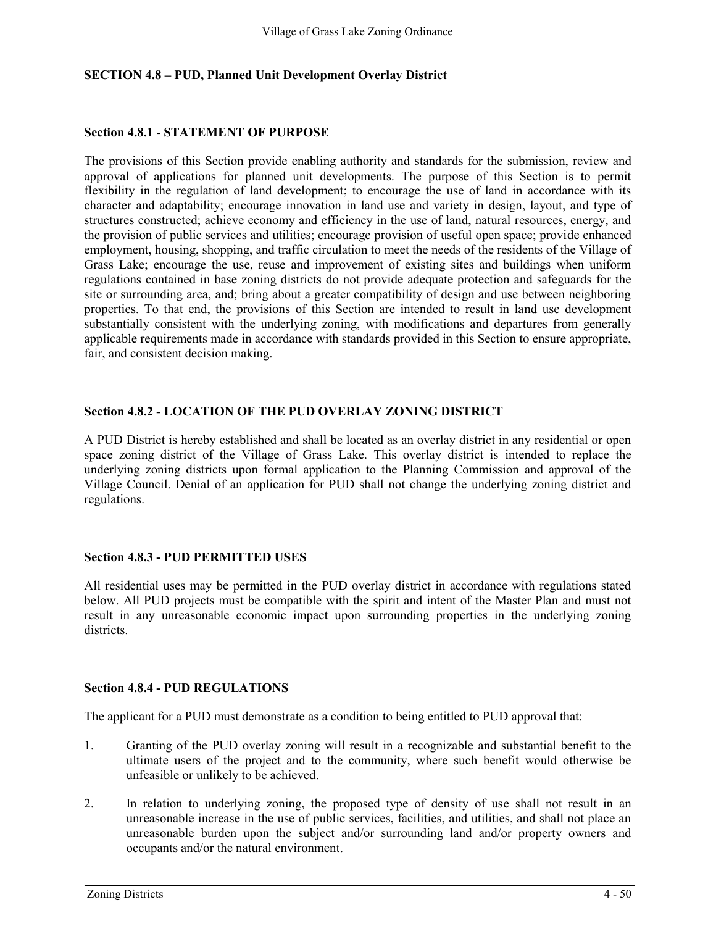## **SECTION 4.8 – PUD, Planned Unit Development Overlay District**

### **Section 4.8.1** - **STATEMENT OF PURPOSE**

The provisions of this Section provide enabling authority and standards for the submission, review and approval of applications for planned unit developments. The purpose of this Section is to permit flexibility in the regulation of land development; to encourage the use of land in accordance with its character and adaptability; encourage innovation in land use and variety in design, layout, and type of structures constructed; achieve economy and efficiency in the use of land, natural resources, energy, and the provision of public services and utilities; encourage provision of useful open space; provide enhanced employment, housing, shopping, and traffic circulation to meet the needs of the residents of the Village of Grass Lake; encourage the use, reuse and improvement of existing sites and buildings when uniform regulations contained in base zoning districts do not provide adequate protection and safeguards for the site or surrounding area, and; bring about a greater compatibility of design and use between neighboring properties. To that end, the provisions of this Section are intended to result in land use development substantially consistent with the underlying zoning, with modifications and departures from generally applicable requirements made in accordance with standards provided in this Section to ensure appropriate, fair, and consistent decision making.

### **Section 4.8.2 - LOCATION OF THE PUD OVERLAY ZONING DISTRICT**

A PUD District is hereby established and shall be located as an overlay district in any residential or open space zoning district of the Village of Grass Lake. This overlay district is intended to replace the underlying zoning districts upon formal application to the Planning Commission and approval of the Village Council. Denial of an application for PUD shall not change the underlying zoning district and regulations.

### **Section 4.8.3 - PUD PERMITTED USES**

All residential uses may be permitted in the PUD overlay district in accordance with regulations stated below. All PUD projects must be compatible with the spirit and intent of the Master Plan and must not result in any unreasonable economic impact upon surrounding properties in the underlying zoning districts.

#### **Section 4.8.4 - PUD REGULATIONS**

The applicant for a PUD must demonstrate as a condition to being entitled to PUD approval that:

- 1. Granting of the PUD overlay zoning will result in a recognizable and substantial benefit to the ultimate users of the project and to the community, where such benefit would otherwise be unfeasible or unlikely to be achieved.
- 2. In relation to underlying zoning, the proposed type of density of use shall not result in an unreasonable increase in the use of public services, facilities, and utilities, and shall not place an unreasonable burden upon the subject and/or surrounding land and/or property owners and occupants and/or the natural environment.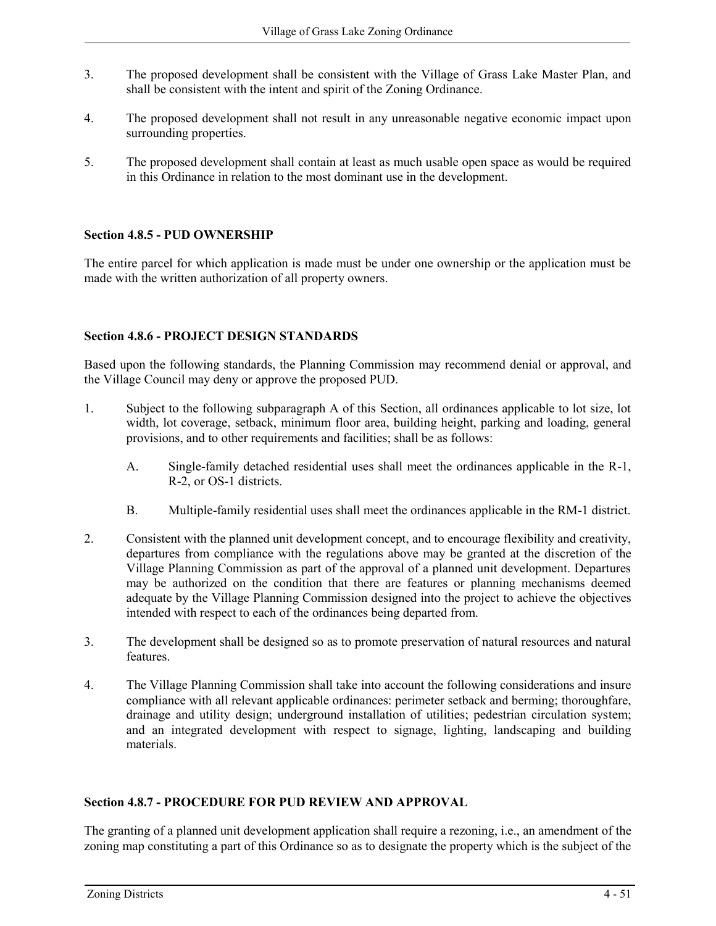- 3. The proposed development shall be consistent with the Village of Grass Lake Master Plan, and shall be consistent with the intent and spirit of the Zoning Ordinance.
- 4. The proposed development shall not result in any unreasonable negative economic impact upon surrounding properties.
- 5. The proposed development shall contain at least as much usable open space as would be required in this Ordinance in relation to the most dominant use in the development.

# **Section 4.8.5 - PUD OWNERSHIP**

The entire parcel for which application is made must be under one ownership or the application must be made with the written authorization of all property owners.

# **Section 4.8.6 - PROJECT DESIGN STANDARDS**

Based upon the following standards, the Planning Commission may recommend denial or approval, and the Village Council may deny or approve the proposed PUD.

- 1. Subject to the following subparagraph A of this Section, all ordinances applicable to lot size, lot width, lot coverage, setback, minimum floor area, building height, parking and loading, general provisions, and to other requirements and facilities; shall be as follows:
	- A. Single-family detached residential uses shall meet the ordinances applicable in the R-1, R-2, or OS-1 districts.
	- B. Multiple-family residential uses shall meet the ordinances applicable in the RM-1 district.
- 2. Consistent with the planned unit development concept, and to encourage flexibility and creativity, departures from compliance with the regulations above may be granted at the discretion of the Village Planning Commission as part of the approval of a planned unit development. Departures may be authorized on the condition that there are features or planning mechanisms deemed adequate by the Village Planning Commission designed into the project to achieve the objectives intended with respect to each of the ordinances being departed from.
- 3. The development shall be designed so as to promote preservation of natural resources and natural features.
- 4. The Village Planning Commission shall take into account the following considerations and insure compliance with all relevant applicable ordinances: perimeter setback and berming; thoroughfare, drainage and utility design; underground installation of utilities; pedestrian circulation system; and an integrated development with respect to signage, lighting, landscaping and building materials.

### **Section 4.8.7 - PROCEDURE FOR PUD REVIEW AND APPROVAL**

The granting of a planned unit development application shall require a rezoning, i.e., an amendment of the zoning map constituting a part of this Ordinance so as to designate the property which is the subject of the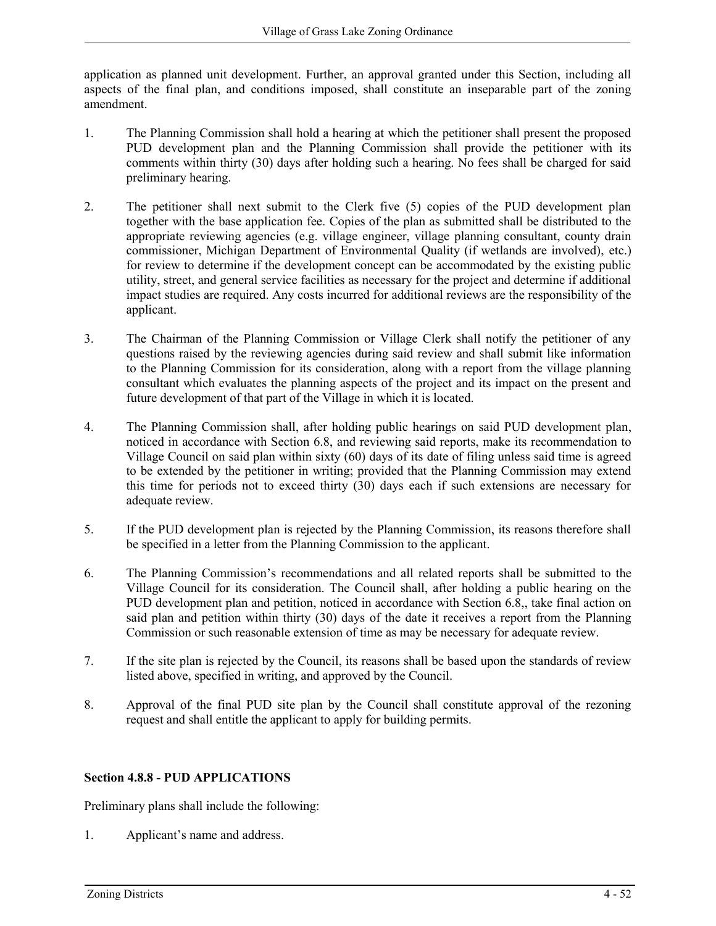application as planned unit development. Further, an approval granted under this Section, including all aspects of the final plan, and conditions imposed, shall constitute an inseparable part of the zoning amendment.

- 1. The Planning Commission shall hold a hearing at which the petitioner shall present the proposed PUD development plan and the Planning Commission shall provide the petitioner with its comments within thirty (30) days after holding such a hearing. No fees shall be charged for said preliminary hearing.
- 2. The petitioner shall next submit to the Clerk five (5) copies of the PUD development plan together with the base application fee. Copies of the plan as submitted shall be distributed to the appropriate reviewing agencies (e.g. village engineer, village planning consultant, county drain commissioner, Michigan Department of Environmental Quality (if wetlands are involved), etc.) for review to determine if the development concept can be accommodated by the existing public utility, street, and general service facilities as necessary for the project and determine if additional impact studies are required. Any costs incurred for additional reviews are the responsibility of the applicant.
- 3. The Chairman of the Planning Commission or Village Clerk shall notify the petitioner of any questions raised by the reviewing agencies during said review and shall submit like information to the Planning Commission for its consideration, along with a report from the village planning consultant which evaluates the planning aspects of the project and its impact on the present and future development of that part of the Village in which it is located.
- 4. The Planning Commission shall, after holding public hearings on said PUD development plan, noticed in accordance with Section 6.8, and reviewing said reports, make its recommendation to Village Council on said plan within sixty (60) days of its date of filing unless said time is agreed to be extended by the petitioner in writing; provided that the Planning Commission may extend this time for periods not to exceed thirty (30) days each if such extensions are necessary for adequate review.
- 5. If the PUD development plan is rejected by the Planning Commission, its reasons therefore shall be specified in a letter from the Planning Commission to the applicant.
- 6. The Planning Commission's recommendations and all related reports shall be submitted to the Village Council for its consideration. The Council shall, after holding a public hearing on the PUD development plan and petition, noticed in accordance with Section 6.8,, take final action on said plan and petition within thirty (30) days of the date it receives a report from the Planning Commission or such reasonable extension of time as may be necessary for adequate review.
- 7. If the site plan is rejected by the Council, its reasons shall be based upon the standards of review listed above, specified in writing, and approved by the Council.
- 8. Approval of the final PUD site plan by the Council shall constitute approval of the rezoning request and shall entitle the applicant to apply for building permits.

# **Section 4.8.8 - PUD APPLICATIONS**

Preliminary plans shall include the following:

1. Applicant's name and address.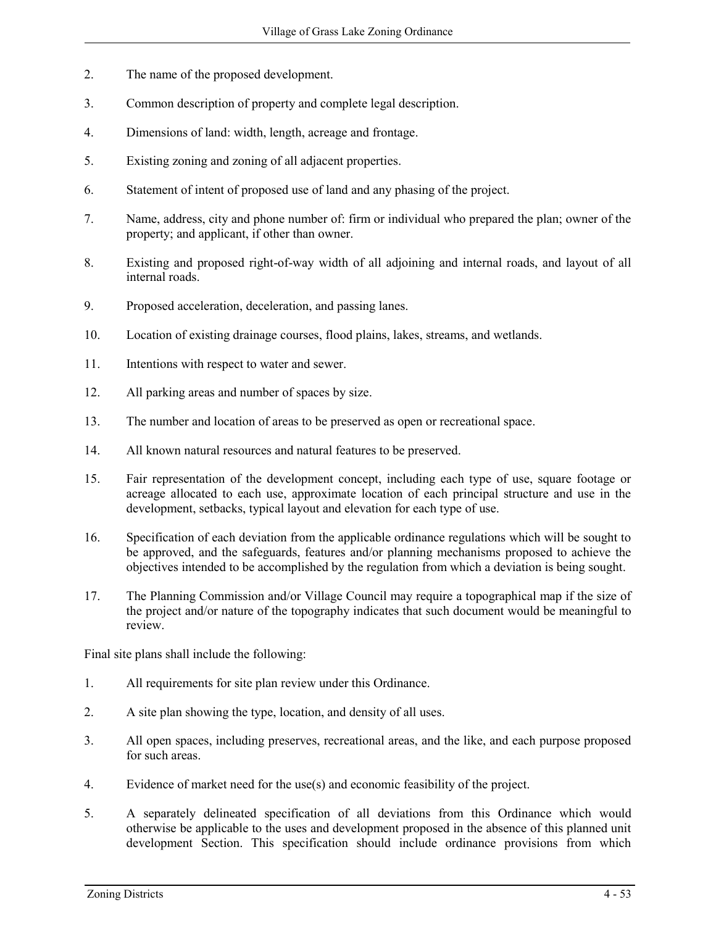- 2. The name of the proposed development.
- 3. Common description of property and complete legal description.
- 4. Dimensions of land: width, length, acreage and frontage.
- 5. Existing zoning and zoning of all adjacent properties.
- 6. Statement of intent of proposed use of land and any phasing of the project.
- 7. Name, address, city and phone number of: firm or individual who prepared the plan; owner of the property; and applicant, if other than owner.
- 8. Existing and proposed right-of-way width of all adjoining and internal roads, and layout of all internal roads.
- 9. Proposed acceleration, deceleration, and passing lanes.
- 10. Location of existing drainage courses, flood plains, lakes, streams, and wetlands.
- 11. Intentions with respect to water and sewer.
- 12. All parking areas and number of spaces by size.
- 13. The number and location of areas to be preserved as open or recreational space.
- 14. All known natural resources and natural features to be preserved.
- 15. Fair representation of the development concept, including each type of use, square footage or acreage allocated to each use, approximate location of each principal structure and use in the development, setbacks, typical layout and elevation for each type of use.
- 16. Specification of each deviation from the applicable ordinance regulations which will be sought to be approved, and the safeguards, features and/or planning mechanisms proposed to achieve the objectives intended to be accomplished by the regulation from which a deviation is being sought.
- 17. The Planning Commission and/or Village Council may require a topographical map if the size of the project and/or nature of the topography indicates that such document would be meaningful to review.

Final site plans shall include the following:

- 1. All requirements for site plan review under this Ordinance.
- 2. A site plan showing the type, location, and density of all uses.
- 3. All open spaces, including preserves, recreational areas, and the like, and each purpose proposed for such areas.
- 4. Evidence of market need for the use(s) and economic feasibility of the project.
- 5. A separately delineated specification of all deviations from this Ordinance which would otherwise be applicable to the uses and development proposed in the absence of this planned unit development Section. This specification should include ordinance provisions from which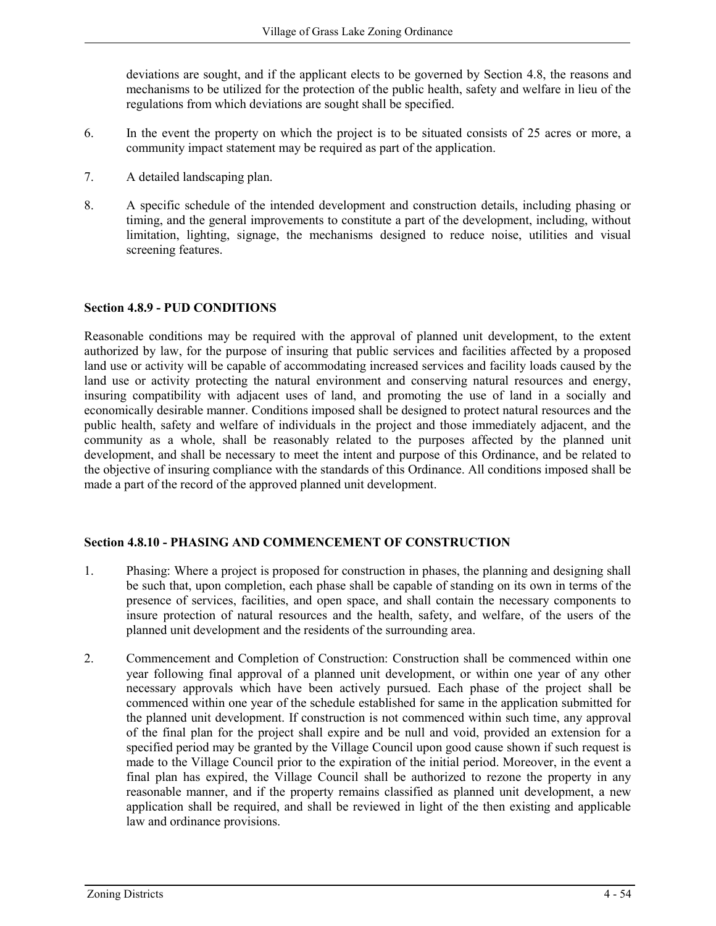deviations are sought, and if the applicant elects to be governed by Section 4.8, the reasons and mechanisms to be utilized for the protection of the public health, safety and welfare in lieu of the regulations from which deviations are sought shall be specified.

- 6. In the event the property on which the project is to be situated consists of 25 acres or more, a community impact statement may be required as part of the application.
- 7. A detailed landscaping plan.
- 8. A specific schedule of the intended development and construction details, including phasing or timing, and the general improvements to constitute a part of the development, including, without limitation, lighting, signage, the mechanisms designed to reduce noise, utilities and visual screening features.

### **Section 4.8.9 - PUD CONDITIONS**

Reasonable conditions may be required with the approval of planned unit development, to the extent authorized by law, for the purpose of insuring that public services and facilities affected by a proposed land use or activity will be capable of accommodating increased services and facility loads caused by the land use or activity protecting the natural environment and conserving natural resources and energy, insuring compatibility with adjacent uses of land, and promoting the use of land in a socially and economically desirable manner. Conditions imposed shall be designed to protect natural resources and the public health, safety and welfare of individuals in the project and those immediately adjacent, and the community as a whole, shall be reasonably related to the purposes affected by the planned unit development, and shall be necessary to meet the intent and purpose of this Ordinance, and be related to the objective of insuring compliance with the standards of this Ordinance. All conditions imposed shall be made a part of the record of the approved planned unit development.

### **Section 4.8.10 - PHASING AND COMMENCEMENT OF CONSTRUCTION**

- 1. Phasing: Where a project is proposed for construction in phases, the planning and designing shall be such that, upon completion, each phase shall be capable of standing on its own in terms of the presence of services, facilities, and open space, and shall contain the necessary components to insure protection of natural resources and the health, safety, and welfare, of the users of the planned unit development and the residents of the surrounding area.
- 2. Commencement and Completion of Construction: Construction shall be commenced within one year following final approval of a planned unit development, or within one year of any other necessary approvals which have been actively pursued. Each phase of the project shall be commenced within one year of the schedule established for same in the application submitted for the planned unit development. If construction is not commenced within such time, any approval of the final plan for the project shall expire and be null and void, provided an extension for a specified period may be granted by the Village Council upon good cause shown if such request is made to the Village Council prior to the expiration of the initial period. Moreover, in the event a final plan has expired, the Village Council shall be authorized to rezone the property in any reasonable manner, and if the property remains classified as planned unit development, a new application shall be required, and shall be reviewed in light of the then existing and applicable law and ordinance provisions.